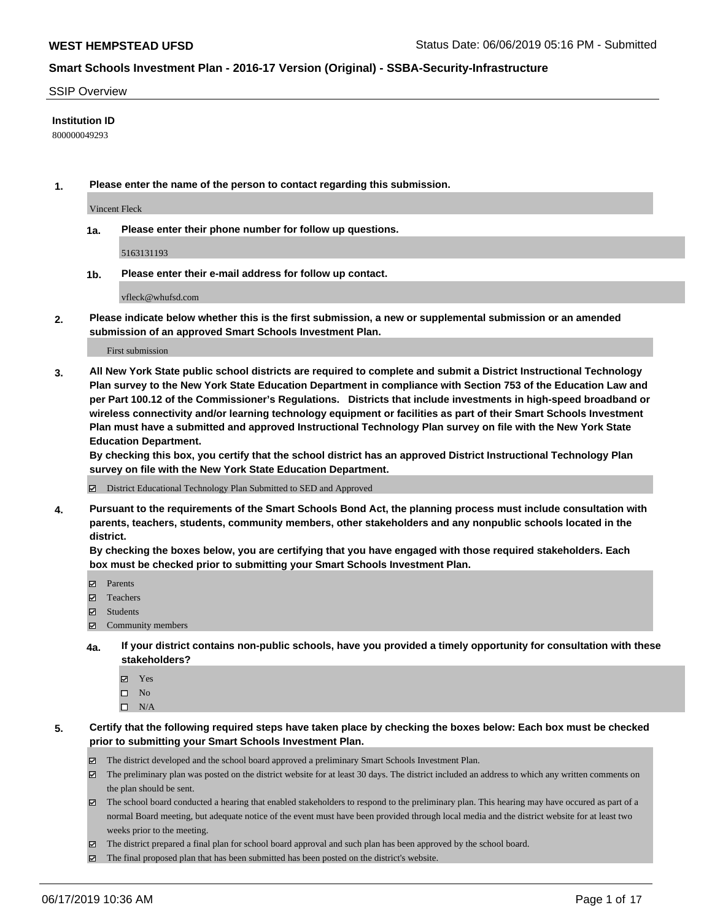#### SSIP Overview

### **Institution ID**

800000049293

**1. Please enter the name of the person to contact regarding this submission.**

Vincent Fleck

**1a. Please enter their phone number for follow up questions.**

5163131193

**1b. Please enter their e-mail address for follow up contact.**

vfleck@whufsd.com

**2. Please indicate below whether this is the first submission, a new or supplemental submission or an amended submission of an approved Smart Schools Investment Plan.**

First submission

**3. All New York State public school districts are required to complete and submit a District Instructional Technology Plan survey to the New York State Education Department in compliance with Section 753 of the Education Law and per Part 100.12 of the Commissioner's Regulations. Districts that include investments in high-speed broadband or wireless connectivity and/or learning technology equipment or facilities as part of their Smart Schools Investment Plan must have a submitted and approved Instructional Technology Plan survey on file with the New York State Education Department.** 

**By checking this box, you certify that the school district has an approved District Instructional Technology Plan survey on file with the New York State Education Department.**

District Educational Technology Plan Submitted to SED and Approved

**4. Pursuant to the requirements of the Smart Schools Bond Act, the planning process must include consultation with parents, teachers, students, community members, other stakeholders and any nonpublic schools located in the district.** 

**By checking the boxes below, you are certifying that you have engaged with those required stakeholders. Each box must be checked prior to submitting your Smart Schools Investment Plan.**

- Parents
- Teachers
- Students
- Community members
- **4a. If your district contains non-public schools, have you provided a timely opportunity for consultation with these stakeholders?**
	- Yes
	- $\square$  No
	- $\square$  N/A
- **5. Certify that the following required steps have taken place by checking the boxes below: Each box must be checked prior to submitting your Smart Schools Investment Plan.**
	- The district developed and the school board approved a preliminary Smart Schools Investment Plan.
	- $\boxtimes$  The preliminary plan was posted on the district website for at least 30 days. The district included an address to which any written comments on the plan should be sent.
	- $\boxtimes$  The school board conducted a hearing that enabled stakeholders to respond to the preliminary plan. This hearing may have occured as part of a normal Board meeting, but adequate notice of the event must have been provided through local media and the district website for at least two weeks prior to the meeting.
	- The district prepared a final plan for school board approval and such plan has been approved by the school board.
	- $\boxtimes$  The final proposed plan that has been submitted has been posted on the district's website.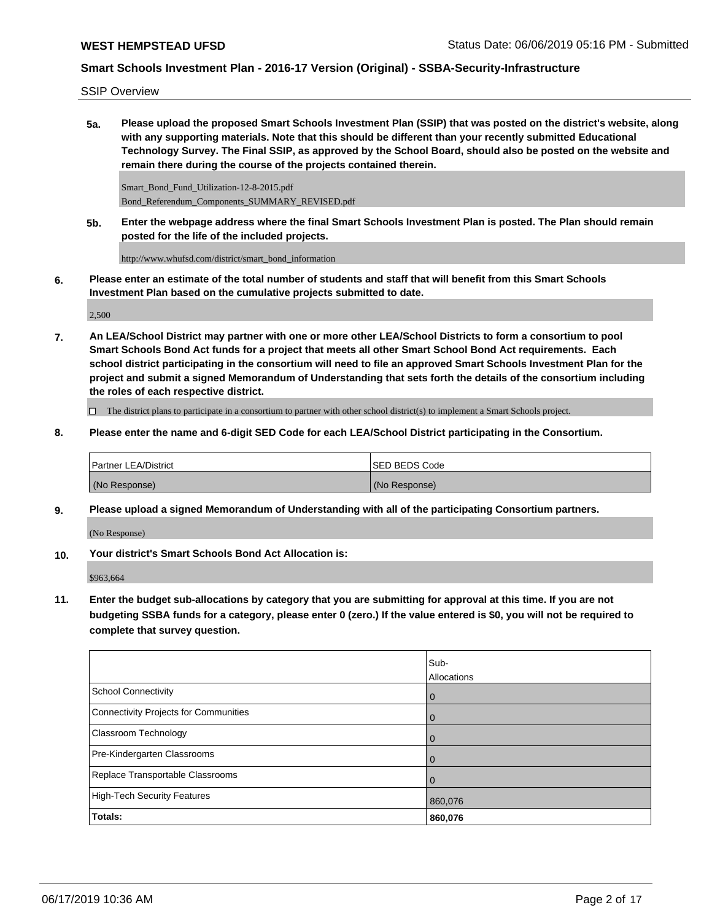SSIP Overview

**5a. Please upload the proposed Smart Schools Investment Plan (SSIP) that was posted on the district's website, along with any supporting materials. Note that this should be different than your recently submitted Educational Technology Survey. The Final SSIP, as approved by the School Board, should also be posted on the website and remain there during the course of the projects contained therein.**

Smart\_Bond\_Fund\_Utilization-12-8-2015.pdf Bond\_Referendum\_Components\_SUMMARY\_REVISED.pdf

**5b. Enter the webpage address where the final Smart Schools Investment Plan is posted. The Plan should remain posted for the life of the included projects.**

http://www.whufsd.com/district/smart\_bond\_information

**6. Please enter an estimate of the total number of students and staff that will benefit from this Smart Schools Investment Plan based on the cumulative projects submitted to date.**

2,500

**7. An LEA/School District may partner with one or more other LEA/School Districts to form a consortium to pool Smart Schools Bond Act funds for a project that meets all other Smart School Bond Act requirements. Each school district participating in the consortium will need to file an approved Smart Schools Investment Plan for the project and submit a signed Memorandum of Understanding that sets forth the details of the consortium including the roles of each respective district.**

 $\Box$  The district plans to participate in a consortium to partner with other school district(s) to implement a Smart Schools project.

**8. Please enter the name and 6-digit SED Code for each LEA/School District participating in the Consortium.**

| <b>Partner LEA/District</b> | ISED BEDS Code |
|-----------------------------|----------------|
| (No Response)               | (No Response)  |

**9. Please upload a signed Memorandum of Understanding with all of the participating Consortium partners.**

(No Response)

**10. Your district's Smart Schools Bond Act Allocation is:**

\$963,664

**11. Enter the budget sub-allocations by category that you are submitting for approval at this time. If you are not budgeting SSBA funds for a category, please enter 0 (zero.) If the value entered is \$0, you will not be required to complete that survey question.**

|                                              | Sub-<br>Allocations |
|----------------------------------------------|---------------------|
| <b>School Connectivity</b>                   | $\overline{0}$      |
| <b>Connectivity Projects for Communities</b> | $\overline{0}$      |
| <b>Classroom Technology</b>                  | $\overline{0}$      |
| Pre-Kindergarten Classrooms                  | 0                   |
| Replace Transportable Classrooms             | $\overline{0}$      |
| <b>High-Tech Security Features</b>           | 860,076             |
| Totals:                                      | 860,076             |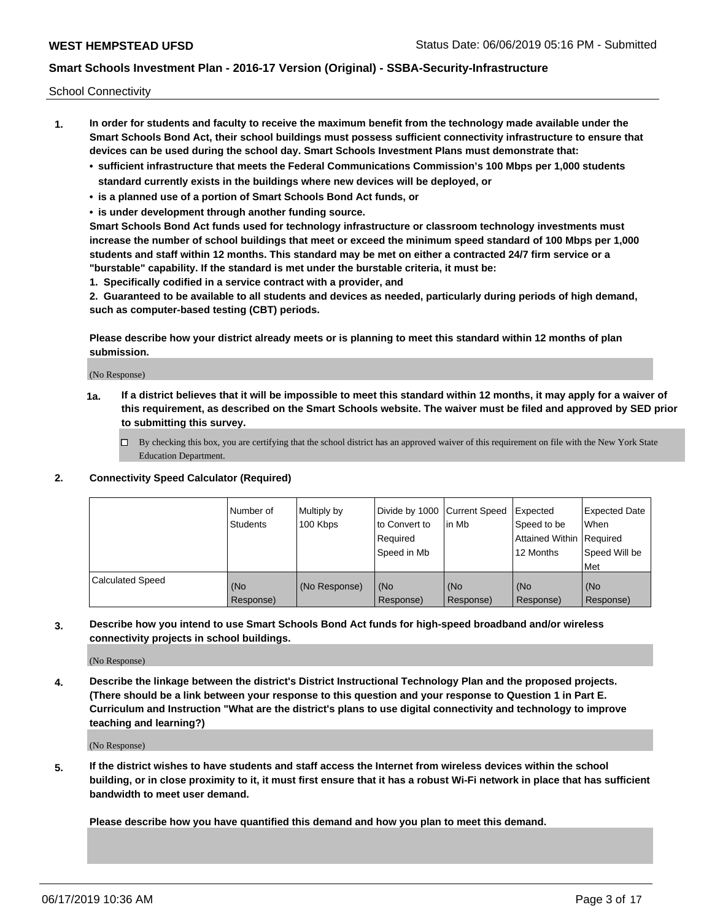School Connectivity

- **1. In order for students and faculty to receive the maximum benefit from the technology made available under the Smart Schools Bond Act, their school buildings must possess sufficient connectivity infrastructure to ensure that devices can be used during the school day. Smart Schools Investment Plans must demonstrate that:**
	- **• sufficient infrastructure that meets the Federal Communications Commission's 100 Mbps per 1,000 students standard currently exists in the buildings where new devices will be deployed, or**
	- **• is a planned use of a portion of Smart Schools Bond Act funds, or**
	- **• is under development through another funding source.**

**Smart Schools Bond Act funds used for technology infrastructure or classroom technology investments must increase the number of school buildings that meet or exceed the minimum speed standard of 100 Mbps per 1,000 students and staff within 12 months. This standard may be met on either a contracted 24/7 firm service or a "burstable" capability. If the standard is met under the burstable criteria, it must be:**

**1. Specifically codified in a service contract with a provider, and**

**2. Guaranteed to be available to all students and devices as needed, particularly during periods of high demand, such as computer-based testing (CBT) periods.**

**Please describe how your district already meets or is planning to meet this standard within 12 months of plan submission.**

(No Response)

**1a. If a district believes that it will be impossible to meet this standard within 12 months, it may apply for a waiver of this requirement, as described on the Smart Schools website. The waiver must be filed and approved by SED prior to submitting this survey.**

 $\Box$  By checking this box, you are certifying that the school district has an approved waiver of this requirement on file with the New York State Education Department.

#### **2. Connectivity Speed Calculator (Required)**

|                         | Number of<br>Students | Multiply by<br>100 Kbps | Divide by 1000 Current Speed<br>to Convert to<br>Required<br>Speed in Mb | l in Mb          | Expected<br>Speed to be<br>Attained Within   Required<br>12 Months | <b>Expected Date</b><br>When<br>Speed Will be<br><b>Met</b> |
|-------------------------|-----------------------|-------------------------|--------------------------------------------------------------------------|------------------|--------------------------------------------------------------------|-------------------------------------------------------------|
| <b>Calculated Speed</b> | (No<br>Response)      | (No Response)           | (No<br>Response)                                                         | (No<br>Response) | (No<br>Response)                                                   | (No<br>Response)                                            |

**3. Describe how you intend to use Smart Schools Bond Act funds for high-speed broadband and/or wireless connectivity projects in school buildings.**

(No Response)

**4. Describe the linkage between the district's District Instructional Technology Plan and the proposed projects. (There should be a link between your response to this question and your response to Question 1 in Part E. Curriculum and Instruction "What are the district's plans to use digital connectivity and technology to improve teaching and learning?)**

(No Response)

**5. If the district wishes to have students and staff access the Internet from wireless devices within the school building, or in close proximity to it, it must first ensure that it has a robust Wi-Fi network in place that has sufficient bandwidth to meet user demand.**

**Please describe how you have quantified this demand and how you plan to meet this demand.**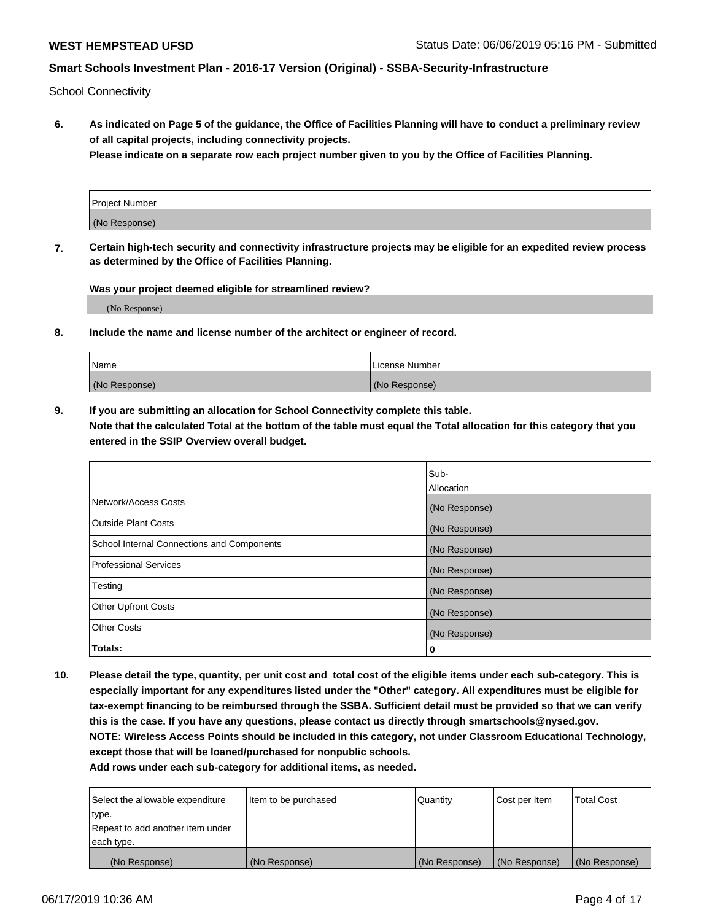School Connectivity

**6. As indicated on Page 5 of the guidance, the Office of Facilities Planning will have to conduct a preliminary review of all capital projects, including connectivity projects.**

**Please indicate on a separate row each project number given to you by the Office of Facilities Planning.**

| Project Number |  |
|----------------|--|
|                |  |
| (No Response)  |  |
|                |  |

**7. Certain high-tech security and connectivity infrastructure projects may be eligible for an expedited review process as determined by the Office of Facilities Planning.**

**Was your project deemed eligible for streamlined review?**

(No Response)

**8. Include the name and license number of the architect or engineer of record.**

| Name          | License Number |
|---------------|----------------|
| (No Response) | (No Response)  |

**9. If you are submitting an allocation for School Connectivity complete this table. Note that the calculated Total at the bottom of the table must equal the Total allocation for this category that you entered in the SSIP Overview overall budget.** 

|                                            | Sub-          |
|--------------------------------------------|---------------|
|                                            | Allocation    |
| Network/Access Costs                       | (No Response) |
| <b>Outside Plant Costs</b>                 | (No Response) |
| School Internal Connections and Components | (No Response) |
| <b>Professional Services</b>               | (No Response) |
| Testing                                    | (No Response) |
| <b>Other Upfront Costs</b>                 | (No Response) |
| <b>Other Costs</b>                         | (No Response) |
| Totals:                                    | 0             |

**10. Please detail the type, quantity, per unit cost and total cost of the eligible items under each sub-category. This is especially important for any expenditures listed under the "Other" category. All expenditures must be eligible for tax-exempt financing to be reimbursed through the SSBA. Sufficient detail must be provided so that we can verify this is the case. If you have any questions, please contact us directly through smartschools@nysed.gov. NOTE: Wireless Access Points should be included in this category, not under Classroom Educational Technology, except those that will be loaned/purchased for nonpublic schools.**

| Select the allowable expenditure | Item to be purchased | Quantity      | Cost per Item | <b>Total Cost</b> |
|----------------------------------|----------------------|---------------|---------------|-------------------|
| type.                            |                      |               |               |                   |
| Repeat to add another item under |                      |               |               |                   |
| each type.                       |                      |               |               |                   |
| (No Response)                    | (No Response)        | (No Response) | (No Response) | (No Response)     |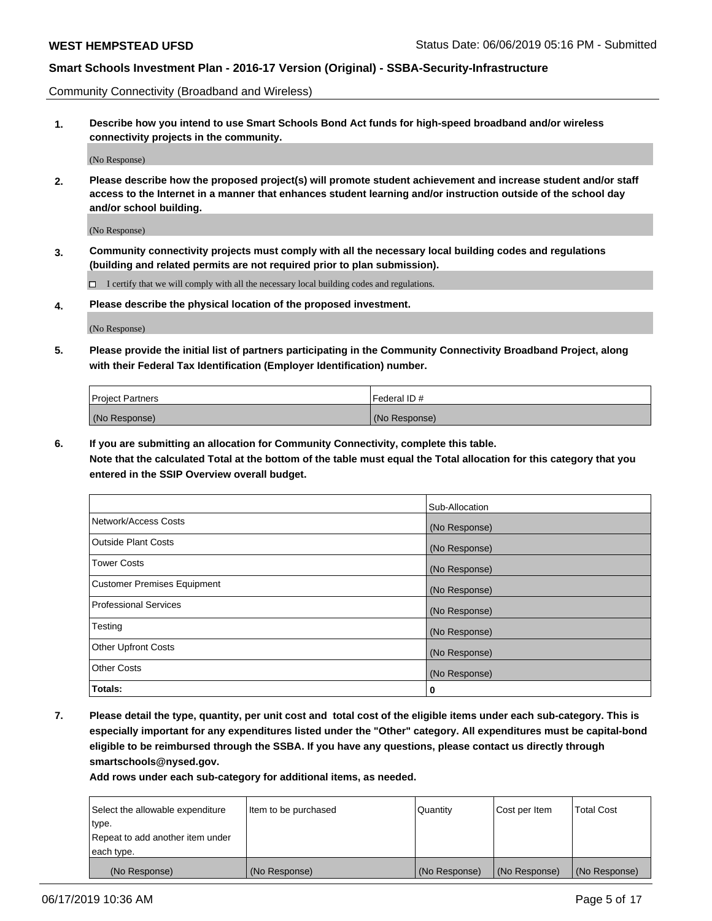Community Connectivity (Broadband and Wireless)

**1. Describe how you intend to use Smart Schools Bond Act funds for high-speed broadband and/or wireless connectivity projects in the community.**

(No Response)

**2. Please describe how the proposed project(s) will promote student achievement and increase student and/or staff access to the Internet in a manner that enhances student learning and/or instruction outside of the school day and/or school building.**

(No Response)

**3. Community connectivity projects must comply with all the necessary local building codes and regulations (building and related permits are not required prior to plan submission).**

 $\Box$  I certify that we will comply with all the necessary local building codes and regulations.

**4. Please describe the physical location of the proposed investment.**

(No Response)

**5. Please provide the initial list of partners participating in the Community Connectivity Broadband Project, along with their Federal Tax Identification (Employer Identification) number.**

| <b>Project Partners</b> | l Federal ID # |
|-------------------------|----------------|
| (No Response)           | (No Response)  |

**6. If you are submitting an allocation for Community Connectivity, complete this table.**

**Note that the calculated Total at the bottom of the table must equal the Total allocation for this category that you entered in the SSIP Overview overall budget.**

|                                    | Sub-Allocation |
|------------------------------------|----------------|
| Network/Access Costs               | (No Response)  |
| <b>Outside Plant Costs</b>         | (No Response)  |
| <b>Tower Costs</b>                 | (No Response)  |
| <b>Customer Premises Equipment</b> | (No Response)  |
| <b>Professional Services</b>       | (No Response)  |
| Testing                            | (No Response)  |
| <b>Other Upfront Costs</b>         | (No Response)  |
| <b>Other Costs</b>                 | (No Response)  |
| Totals:                            | 0              |

**7. Please detail the type, quantity, per unit cost and total cost of the eligible items under each sub-category. This is especially important for any expenditures listed under the "Other" category. All expenditures must be capital-bond eligible to be reimbursed through the SSBA. If you have any questions, please contact us directly through smartschools@nysed.gov.**

| Select the allowable expenditure<br>type.      | Item to be purchased | Quantity      | Cost per Item | <b>Total Cost</b> |
|------------------------------------------------|----------------------|---------------|---------------|-------------------|
| Repeat to add another item under<br>each type. |                      |               |               |                   |
| (No Response)                                  | (No Response)        | (No Response) | (No Response) | (No Response)     |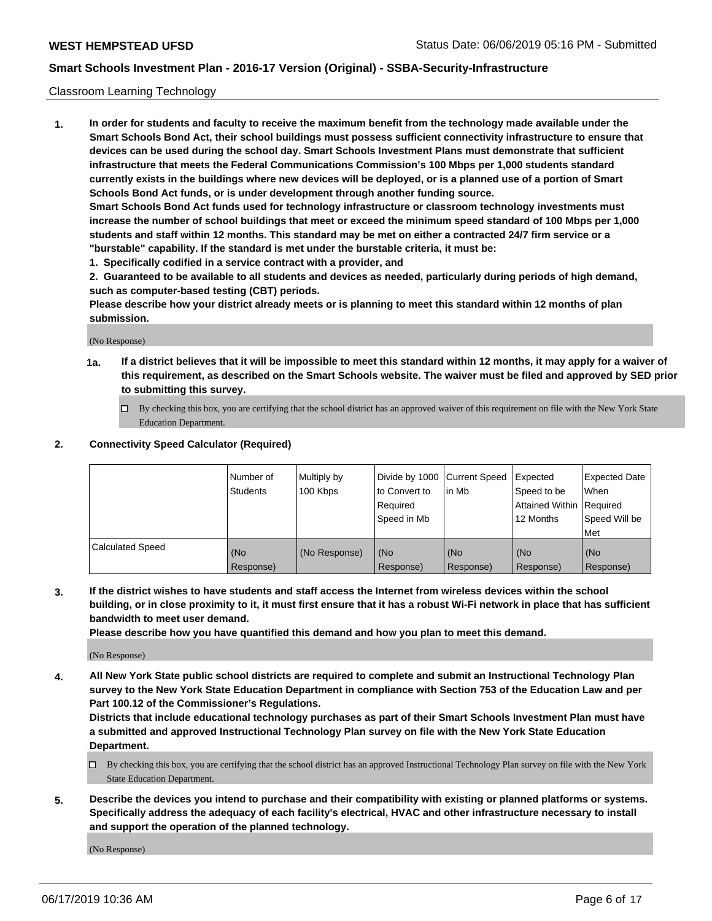### Classroom Learning Technology

**1. In order for students and faculty to receive the maximum benefit from the technology made available under the Smart Schools Bond Act, their school buildings must possess sufficient connectivity infrastructure to ensure that devices can be used during the school day. Smart Schools Investment Plans must demonstrate that sufficient infrastructure that meets the Federal Communications Commission's 100 Mbps per 1,000 students standard currently exists in the buildings where new devices will be deployed, or is a planned use of a portion of Smart Schools Bond Act funds, or is under development through another funding source. Smart Schools Bond Act funds used for technology infrastructure or classroom technology investments must increase the number of school buildings that meet or exceed the minimum speed standard of 100 Mbps per 1,000**

**students and staff within 12 months. This standard may be met on either a contracted 24/7 firm service or a "burstable" capability. If the standard is met under the burstable criteria, it must be:**

**1. Specifically codified in a service contract with a provider, and**

**2. Guaranteed to be available to all students and devices as needed, particularly during periods of high demand, such as computer-based testing (CBT) periods.**

**Please describe how your district already meets or is planning to meet this standard within 12 months of plan submission.**

(No Response)

- **1a. If a district believes that it will be impossible to meet this standard within 12 months, it may apply for a waiver of this requirement, as described on the Smart Schools website. The waiver must be filed and approved by SED prior to submitting this survey.**
	- By checking this box, you are certifying that the school district has an approved waiver of this requirement on file with the New York State Education Department.

### **2. Connectivity Speed Calculator (Required)**

|                         | I Number of<br>Students | Multiply by<br>100 Kbps | to Convert to<br>Required<br>Speed in Mb | Divide by 1000 Current Speed Expected<br>lin Mb | Speed to be<br>Attained Within Required<br>12 Months | <b>Expected Date</b><br>When<br>Speed Will be<br>Met |
|-------------------------|-------------------------|-------------------------|------------------------------------------|-------------------------------------------------|------------------------------------------------------|------------------------------------------------------|
| <b>Calculated Speed</b> | (No<br>Response)        | (No Response)           | (No<br>Response)                         | (No<br>Response)                                | (No<br>Response)                                     | (No<br>Response)                                     |

**3. If the district wishes to have students and staff access the Internet from wireless devices within the school building, or in close proximity to it, it must first ensure that it has a robust Wi-Fi network in place that has sufficient bandwidth to meet user demand.**

**Please describe how you have quantified this demand and how you plan to meet this demand.**

(No Response)

**4. All New York State public school districts are required to complete and submit an Instructional Technology Plan survey to the New York State Education Department in compliance with Section 753 of the Education Law and per Part 100.12 of the Commissioner's Regulations.**

**Districts that include educational technology purchases as part of their Smart Schools Investment Plan must have a submitted and approved Instructional Technology Plan survey on file with the New York State Education Department.**

- $\Box$  By checking this box, you are certifying that the school district has an approved Instructional Technology Plan survey on file with the New York State Education Department.
- **5. Describe the devices you intend to purchase and their compatibility with existing or planned platforms or systems. Specifically address the adequacy of each facility's electrical, HVAC and other infrastructure necessary to install and support the operation of the planned technology.**

(No Response)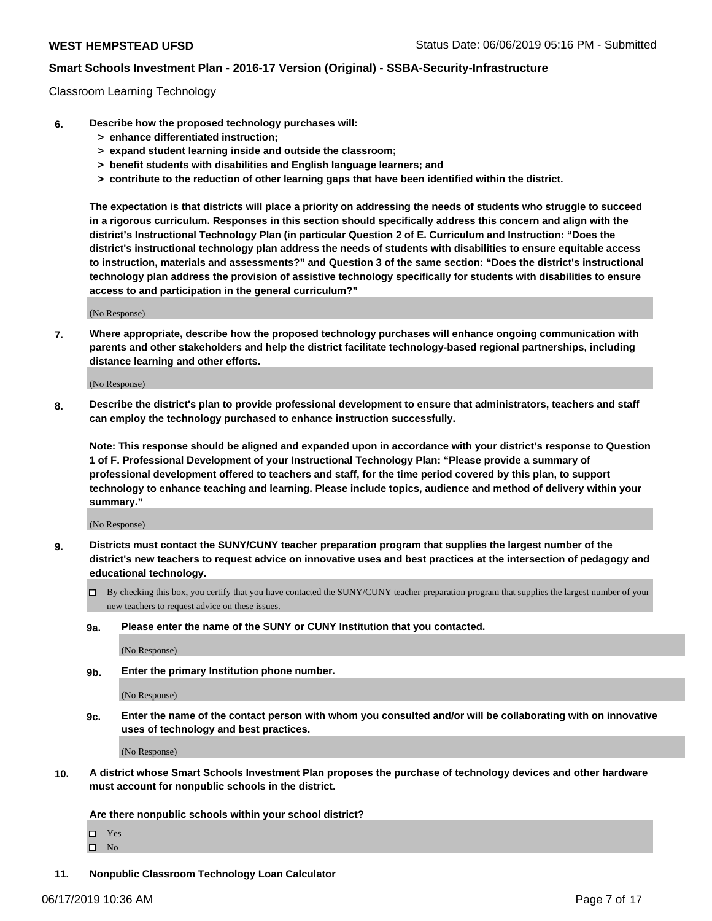### Classroom Learning Technology

- **6. Describe how the proposed technology purchases will:**
	- **> enhance differentiated instruction;**
	- **> expand student learning inside and outside the classroom;**
	- **> benefit students with disabilities and English language learners; and**
	- **> contribute to the reduction of other learning gaps that have been identified within the district.**

**The expectation is that districts will place a priority on addressing the needs of students who struggle to succeed in a rigorous curriculum. Responses in this section should specifically address this concern and align with the district's Instructional Technology Plan (in particular Question 2 of E. Curriculum and Instruction: "Does the district's instructional technology plan address the needs of students with disabilities to ensure equitable access to instruction, materials and assessments?" and Question 3 of the same section: "Does the district's instructional technology plan address the provision of assistive technology specifically for students with disabilities to ensure access to and participation in the general curriculum?"**

(No Response)

**7. Where appropriate, describe how the proposed technology purchases will enhance ongoing communication with parents and other stakeholders and help the district facilitate technology-based regional partnerships, including distance learning and other efforts.**

(No Response)

**8. Describe the district's plan to provide professional development to ensure that administrators, teachers and staff can employ the technology purchased to enhance instruction successfully.**

**Note: This response should be aligned and expanded upon in accordance with your district's response to Question 1 of F. Professional Development of your Instructional Technology Plan: "Please provide a summary of professional development offered to teachers and staff, for the time period covered by this plan, to support technology to enhance teaching and learning. Please include topics, audience and method of delivery within your summary."**

(No Response)

- **9. Districts must contact the SUNY/CUNY teacher preparation program that supplies the largest number of the district's new teachers to request advice on innovative uses and best practices at the intersection of pedagogy and educational technology.**
	- By checking this box, you certify that you have contacted the SUNY/CUNY teacher preparation program that supplies the largest number of your new teachers to request advice on these issues.
	- **9a. Please enter the name of the SUNY or CUNY Institution that you contacted.**

(No Response)

**9b. Enter the primary Institution phone number.**

(No Response)

**9c. Enter the name of the contact person with whom you consulted and/or will be collaborating with on innovative uses of technology and best practices.**

(No Response)

**10. A district whose Smart Schools Investment Plan proposes the purchase of technology devices and other hardware must account for nonpublic schools in the district.**

**Are there nonpublic schools within your school district?**

Yes

 $\square$  No

**11. Nonpublic Classroom Technology Loan Calculator**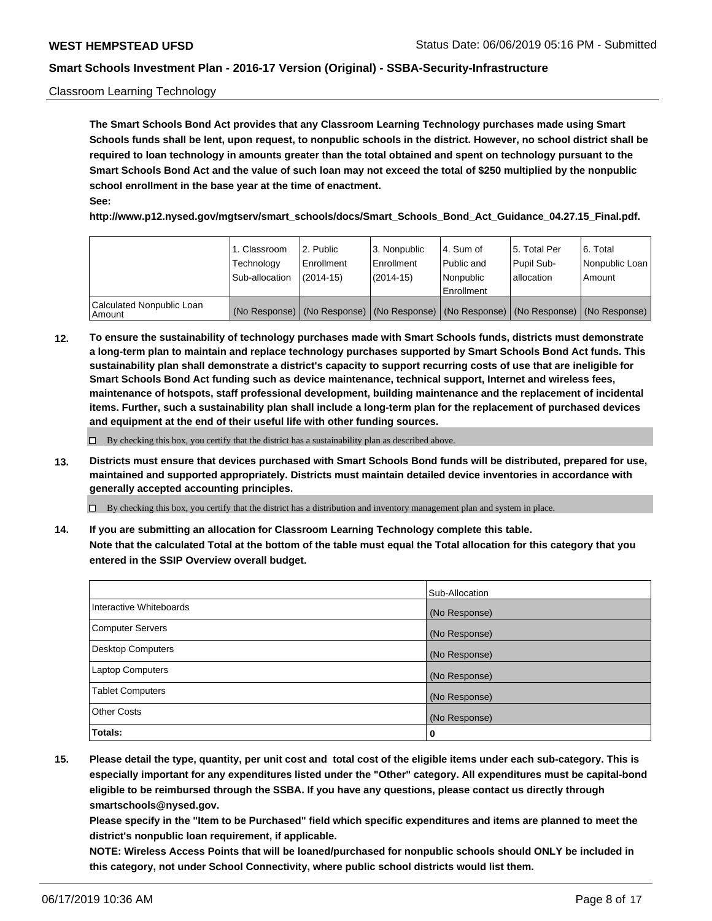### Classroom Learning Technology

**The Smart Schools Bond Act provides that any Classroom Learning Technology purchases made using Smart Schools funds shall be lent, upon request, to nonpublic schools in the district. However, no school district shall be required to loan technology in amounts greater than the total obtained and spent on technology pursuant to the Smart Schools Bond Act and the value of such loan may not exceed the total of \$250 multiplied by the nonpublic school enrollment in the base year at the time of enactment. See:**

**http://www.p12.nysed.gov/mgtserv/smart\_schools/docs/Smart\_Schools\_Bond\_Act\_Guidance\_04.27.15\_Final.pdf.**

|                                       | 1. Classroom<br>Technology<br>Sub-allocation | l 2. Public<br>Enrollment<br>$(2014-15)$ | 3. Nonpublic<br>l Enrollment<br>$(2014-15)$ | l 4. Sum of<br>Public and<br>l Nonpublic<br>Enrollment                                        | l 5. Total Per<br>Pupil Sub-<br>l allocation | l 6. Total<br>Nonpublic Loan<br>Amount |
|---------------------------------------|----------------------------------------------|------------------------------------------|---------------------------------------------|-----------------------------------------------------------------------------------------------|----------------------------------------------|----------------------------------------|
| Calculated Nonpublic Loan<br>l Amount |                                              |                                          |                                             | (No Response)   (No Response)   (No Response)   (No Response)   (No Response)   (No Response) |                                              |                                        |

**12. To ensure the sustainability of technology purchases made with Smart Schools funds, districts must demonstrate a long-term plan to maintain and replace technology purchases supported by Smart Schools Bond Act funds. This sustainability plan shall demonstrate a district's capacity to support recurring costs of use that are ineligible for Smart Schools Bond Act funding such as device maintenance, technical support, Internet and wireless fees, maintenance of hotspots, staff professional development, building maintenance and the replacement of incidental items. Further, such a sustainability plan shall include a long-term plan for the replacement of purchased devices and equipment at the end of their useful life with other funding sources.**

 $\Box$  By checking this box, you certify that the district has a sustainability plan as described above.

**13. Districts must ensure that devices purchased with Smart Schools Bond funds will be distributed, prepared for use, maintained and supported appropriately. Districts must maintain detailed device inventories in accordance with generally accepted accounting principles.**

By checking this box, you certify that the district has a distribution and inventory management plan and system in place.

**14. If you are submitting an allocation for Classroom Learning Technology complete this table. Note that the calculated Total at the bottom of the table must equal the Total allocation for this category that you entered in the SSIP Overview overall budget.**

|                         | Sub-Allocation |
|-------------------------|----------------|
| Interactive Whiteboards | (No Response)  |
| Computer Servers        | (No Response)  |
| Desktop Computers       | (No Response)  |
| <b>Laptop Computers</b> | (No Response)  |
| <b>Tablet Computers</b> | (No Response)  |
| <b>Other Costs</b>      | (No Response)  |
| Totals:                 | 0              |

**15. Please detail the type, quantity, per unit cost and total cost of the eligible items under each sub-category. This is especially important for any expenditures listed under the "Other" category. All expenditures must be capital-bond eligible to be reimbursed through the SSBA. If you have any questions, please contact us directly through smartschools@nysed.gov.**

**Please specify in the "Item to be Purchased" field which specific expenditures and items are planned to meet the district's nonpublic loan requirement, if applicable.**

**NOTE: Wireless Access Points that will be loaned/purchased for nonpublic schools should ONLY be included in this category, not under School Connectivity, where public school districts would list them.**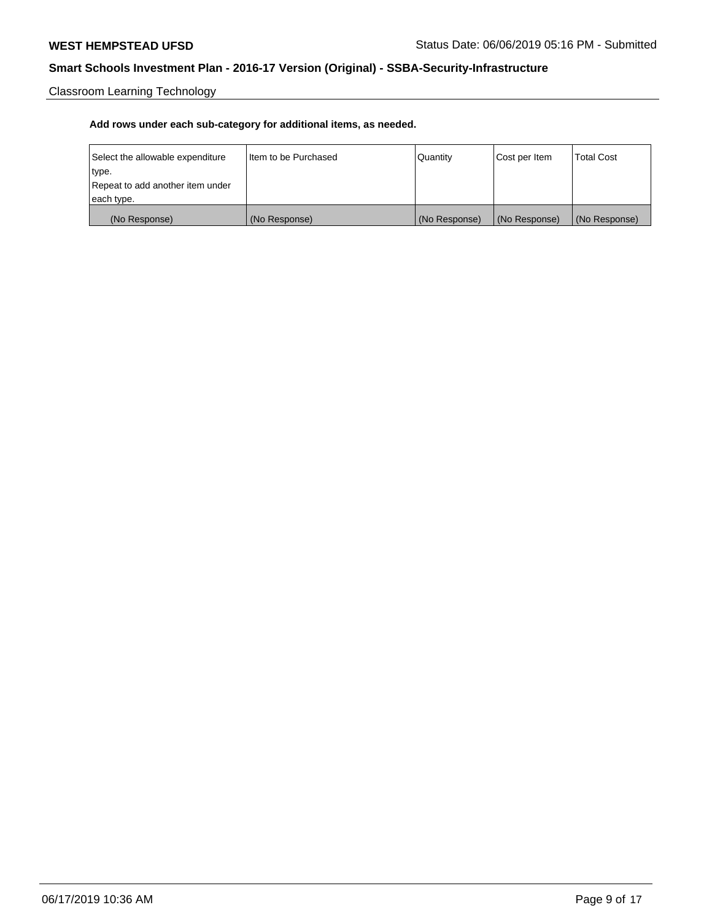Classroom Learning Technology

| Select the allowable expenditure | I Item to be Purchased | Quantity      | Cost per Item | <b>Total Cost</b> |
|----------------------------------|------------------------|---------------|---------------|-------------------|
| type.                            |                        |               |               |                   |
| Repeat to add another item under |                        |               |               |                   |
| each type.                       |                        |               |               |                   |
| (No Response)                    | (No Response)          | (No Response) | (No Response) | (No Response)     |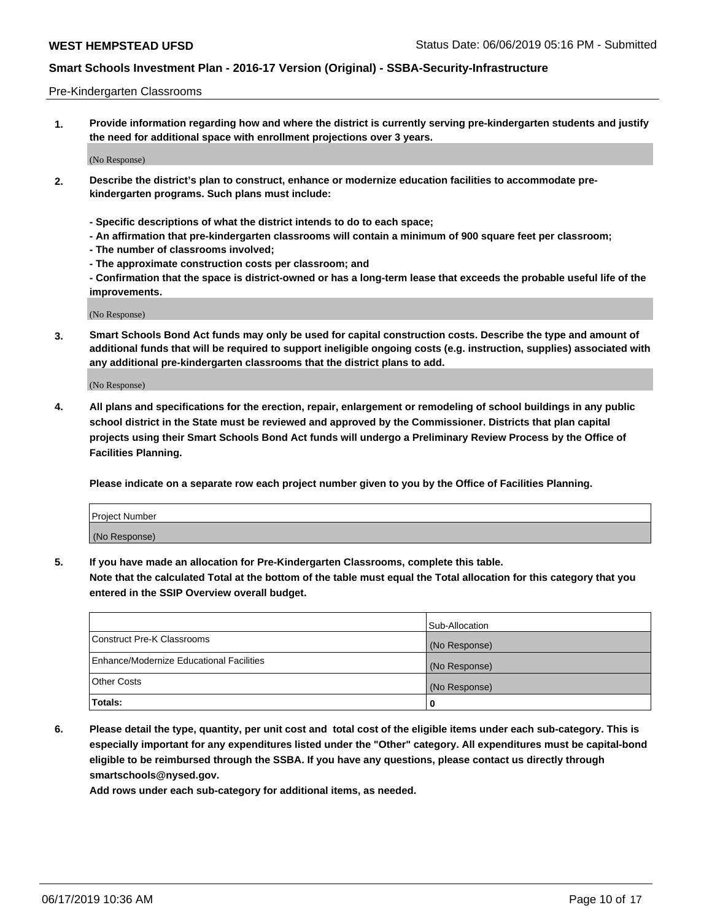#### Pre-Kindergarten Classrooms

**1. Provide information regarding how and where the district is currently serving pre-kindergarten students and justify the need for additional space with enrollment projections over 3 years.**

(No Response)

- **2. Describe the district's plan to construct, enhance or modernize education facilities to accommodate prekindergarten programs. Such plans must include:**
	- **Specific descriptions of what the district intends to do to each space;**
	- **An affirmation that pre-kindergarten classrooms will contain a minimum of 900 square feet per classroom;**
	- **The number of classrooms involved;**
	- **The approximate construction costs per classroom; and**
	- **Confirmation that the space is district-owned or has a long-term lease that exceeds the probable useful life of the improvements.**

(No Response)

**3. Smart Schools Bond Act funds may only be used for capital construction costs. Describe the type and amount of additional funds that will be required to support ineligible ongoing costs (e.g. instruction, supplies) associated with any additional pre-kindergarten classrooms that the district plans to add.**

(No Response)

**4. All plans and specifications for the erection, repair, enlargement or remodeling of school buildings in any public school district in the State must be reviewed and approved by the Commissioner. Districts that plan capital projects using their Smart Schools Bond Act funds will undergo a Preliminary Review Process by the Office of Facilities Planning.**

**Please indicate on a separate row each project number given to you by the Office of Facilities Planning.**

| Project Number |  |
|----------------|--|
| (No Response)  |  |
|                |  |

**5. If you have made an allocation for Pre-Kindergarten Classrooms, complete this table.**

**Note that the calculated Total at the bottom of the table must equal the Total allocation for this category that you entered in the SSIP Overview overall budget.**

|                                          | Sub-Allocation |
|------------------------------------------|----------------|
| Construct Pre-K Classrooms               | (No Response)  |
| Enhance/Modernize Educational Facilities | (No Response)  |
| <b>Other Costs</b>                       | (No Response)  |
| Totals:                                  | 0              |

**6. Please detail the type, quantity, per unit cost and total cost of the eligible items under each sub-category. This is especially important for any expenditures listed under the "Other" category. All expenditures must be capital-bond eligible to be reimbursed through the SSBA. If you have any questions, please contact us directly through smartschools@nysed.gov.**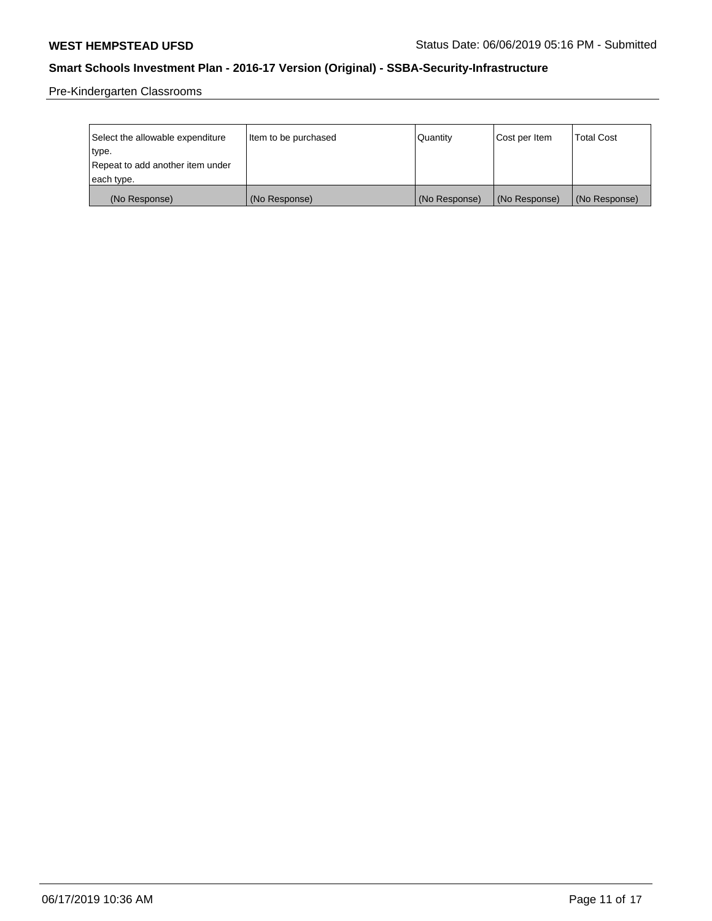Pre-Kindergarten Classrooms

| Select the allowable expenditure | Item to be purchased | Quantity      | Cost per Item | <b>Total Cost</b> |
|----------------------------------|----------------------|---------------|---------------|-------------------|
| type.                            |                      |               |               |                   |
| Repeat to add another item under |                      |               |               |                   |
| each type.                       |                      |               |               |                   |
| (No Response)                    | (No Response)        | (No Response) | (No Response) | (No Response)     |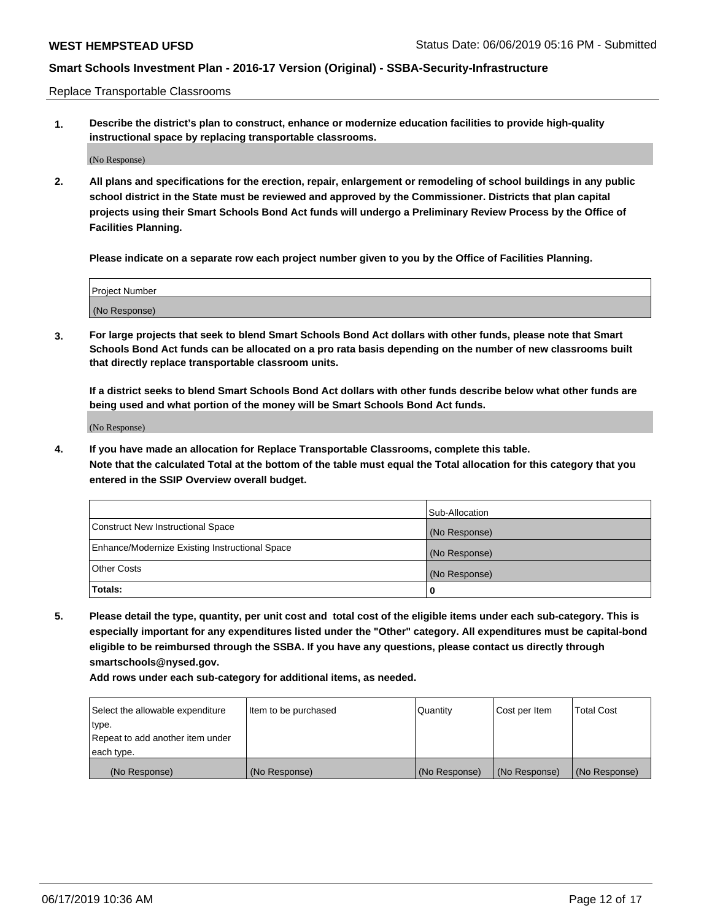Replace Transportable Classrooms

**1. Describe the district's plan to construct, enhance or modernize education facilities to provide high-quality instructional space by replacing transportable classrooms.**

(No Response)

**2. All plans and specifications for the erection, repair, enlargement or remodeling of school buildings in any public school district in the State must be reviewed and approved by the Commissioner. Districts that plan capital projects using their Smart Schools Bond Act funds will undergo a Preliminary Review Process by the Office of Facilities Planning.**

**Please indicate on a separate row each project number given to you by the Office of Facilities Planning.**

| Project Number |  |
|----------------|--|
|                |  |
|                |  |
|                |  |
|                |  |
| (No Response)  |  |
|                |  |
|                |  |
|                |  |

**3. For large projects that seek to blend Smart Schools Bond Act dollars with other funds, please note that Smart Schools Bond Act funds can be allocated on a pro rata basis depending on the number of new classrooms built that directly replace transportable classroom units.**

**If a district seeks to blend Smart Schools Bond Act dollars with other funds describe below what other funds are being used and what portion of the money will be Smart Schools Bond Act funds.**

(No Response)

**4. If you have made an allocation for Replace Transportable Classrooms, complete this table. Note that the calculated Total at the bottom of the table must equal the Total allocation for this category that you entered in the SSIP Overview overall budget.**

|                                                | Sub-Allocation |
|------------------------------------------------|----------------|
| Construct New Instructional Space              | (No Response)  |
| Enhance/Modernize Existing Instructional Space | (No Response)  |
| <b>Other Costs</b>                             | (No Response)  |
| Totals:                                        | 0              |

**5. Please detail the type, quantity, per unit cost and total cost of the eligible items under each sub-category. This is especially important for any expenditures listed under the "Other" category. All expenditures must be capital-bond eligible to be reimbursed through the SSBA. If you have any questions, please contact us directly through smartschools@nysed.gov.**

| Select the allowable expenditure | I ltem to be purchased | l Quantitv    | Cost per Item | <b>Total Cost</b> |
|----------------------------------|------------------------|---------------|---------------|-------------------|
| type.                            |                        |               |               |                   |
| Repeat to add another item under |                        |               |               |                   |
| each type.                       |                        |               |               |                   |
| (No Response)                    | (No Response)          | (No Response) | (No Response) | (No Response)     |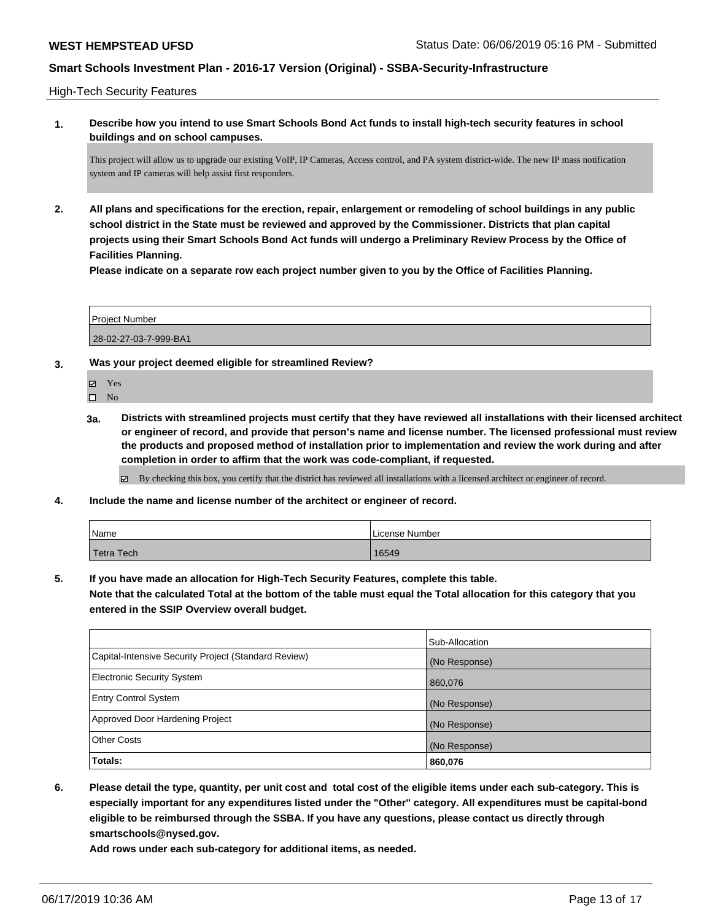High-Tech Security Features

**1. Describe how you intend to use Smart Schools Bond Act funds to install high-tech security features in school buildings and on school campuses.**

This project will allow us to upgrade our existing VoIP, IP Cameras, Access control, and PA system district-wide. The new IP mass notification system and IP cameras will help assist first responders.

**2. All plans and specifications for the erection, repair, enlargement or remodeling of school buildings in any public school district in the State must be reviewed and approved by the Commissioner. Districts that plan capital projects using their Smart Schools Bond Act funds will undergo a Preliminary Review Process by the Office of Facilities Planning.** 

**Please indicate on a separate row each project number given to you by the Office of Facilities Planning.**

Project Number 28-02-27-03-7-999-BA1

- **3. Was your project deemed eligible for streamlined Review?**
	- Yes
	- $\square$  No
	- **3a. Districts with streamlined projects must certify that they have reviewed all installations with their licensed architect or engineer of record, and provide that person's name and license number. The licensed professional must review the products and proposed method of installation prior to implementation and review the work during and after completion in order to affirm that the work was code-compliant, if requested.**

By checking this box, you certify that the district has reviewed all installations with a licensed architect or engineer of record.

**4. Include the name and license number of the architect or engineer of record.**

| Name       | License Number |
|------------|----------------|
| Tetra Tech | 16549          |

**5. If you have made an allocation for High-Tech Security Features, complete this table.**

**Note that the calculated Total at the bottom of the table must equal the Total allocation for this category that you entered in the SSIP Overview overall budget.**

|                                                      | Sub-Allocation |
|------------------------------------------------------|----------------|
| Capital-Intensive Security Project (Standard Review) | (No Response)  |
| <b>Electronic Security System</b>                    | 860,076        |
| <b>Entry Control System</b>                          | (No Response)  |
| Approved Door Hardening Project                      | (No Response)  |
| <b>Other Costs</b>                                   | (No Response)  |
| Totals:                                              | 860,076        |

**6. Please detail the type, quantity, per unit cost and total cost of the eligible items under each sub-category. This is especially important for any expenditures listed under the "Other" category. All expenditures must be capital-bond eligible to be reimbursed through the SSBA. If you have any questions, please contact us directly through smartschools@nysed.gov.**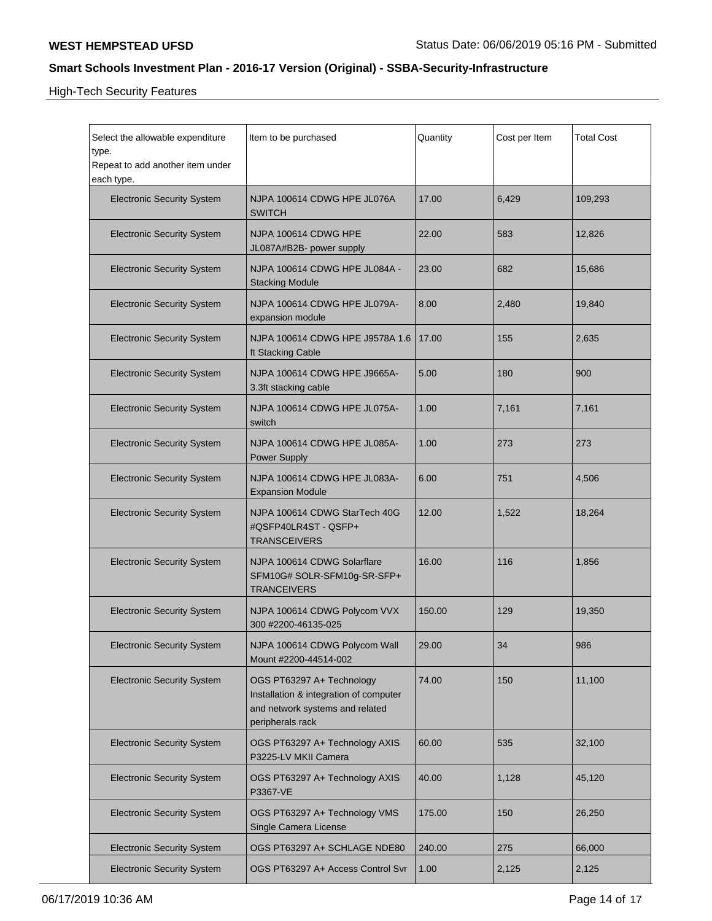High-Tech Security Features

| Select the allowable expenditure<br>type.<br>Repeat to add another item under<br>each type. | Item to be purchased                                                                                                       | Quantity | Cost per Item | <b>Total Cost</b> |
|---------------------------------------------------------------------------------------------|----------------------------------------------------------------------------------------------------------------------------|----------|---------------|-------------------|
| <b>Electronic Security System</b>                                                           | NJPA 100614 CDWG HPE JL076A<br><b>SWITCH</b>                                                                               | 17.00    | 6,429         | 109,293           |
| <b>Electronic Security System</b>                                                           | NJPA 100614 CDWG HPE<br>JL087A#B2B- power supply                                                                           | 22.00    | 583           | 12,826            |
| <b>Electronic Security System</b>                                                           | NJPA 100614 CDWG HPE JL084A -<br><b>Stacking Module</b>                                                                    | 23.00    | 682           | 15,686            |
| <b>Electronic Security System</b>                                                           | NJPA 100614 CDWG HPE JL079A-<br>expansion module                                                                           | 8.00     | 2,480         | 19,840            |
| <b>Electronic Security System</b>                                                           | NJPA 100614 CDWG HPE J9578A 1.6<br>ft Stacking Cable                                                                       | 17.00    | 155           | 2,635             |
| <b>Electronic Security System</b>                                                           | NJPA 100614 CDWG HPE J9665A-<br>3.3ft stacking cable                                                                       | 5.00     | 180           | 900               |
| <b>Electronic Security System</b>                                                           | NJPA 100614 CDWG HPE JL075A-<br>switch                                                                                     | 1.00     | 7,161         | 7,161             |
| <b>Electronic Security System</b>                                                           | NJPA 100614 CDWG HPE JL085A-<br><b>Power Supply</b>                                                                        | 1.00     | 273           | 273               |
| <b>Electronic Security System</b>                                                           | NJPA 100614 CDWG HPE JL083A-<br><b>Expansion Module</b>                                                                    | 6.00     | 751           | 4,506             |
| <b>Electronic Security System</b>                                                           | NJPA 100614 CDWG StarTech 40G<br>#QSFP40LR4ST - QSFP+<br><b>TRANSCEIVERS</b>                                               | 12.00    | 1,522         | 18,264            |
| <b>Electronic Security System</b>                                                           | NJPA 100614 CDWG Solarflare<br>SFM10G# SOLR-SFM10g-SR-SFP+<br><b>TRANCEIVERS</b>                                           | 16.00    | 116           | 1,856             |
| <b>Electronic Security System</b>                                                           | NJPA 100614 CDWG Polycom VVX<br>300 #2200-46135-025                                                                        | 150.00   | 129           | 19,350            |
| <b>Electronic Security System</b>                                                           | NJPA 100614 CDWG Polycom Wall<br>Mount #2200-44514-002                                                                     | 29.00    | 34            | 986               |
| <b>Electronic Security System</b>                                                           | OGS PT63297 A+ Technology<br>Installation & integration of computer<br>and network systems and related<br>peripherals rack | 74.00    | 150           | 11,100            |
| <b>Electronic Security System</b>                                                           | OGS PT63297 A+ Technology AXIS<br>P3225-LV MKII Camera                                                                     | 60.00    | 535           | 32,100            |
| <b>Electronic Security System</b>                                                           | OGS PT63297 A+ Technology AXIS<br>P3367-VE                                                                                 | 40.00    | 1,128         | 45,120            |
| <b>Electronic Security System</b>                                                           | OGS PT63297 A+ Technology VMS<br>Single Camera License                                                                     | 175.00   | 150           | 26,250            |
| <b>Electronic Security System</b>                                                           | OGS PT63297 A+ SCHLAGE NDE80                                                                                               | 240.00   | 275           | 66,000            |
| <b>Electronic Security System</b>                                                           | OGS PT63297 A+ Access Control Svr                                                                                          | 1.00     | 2,125         | 2,125             |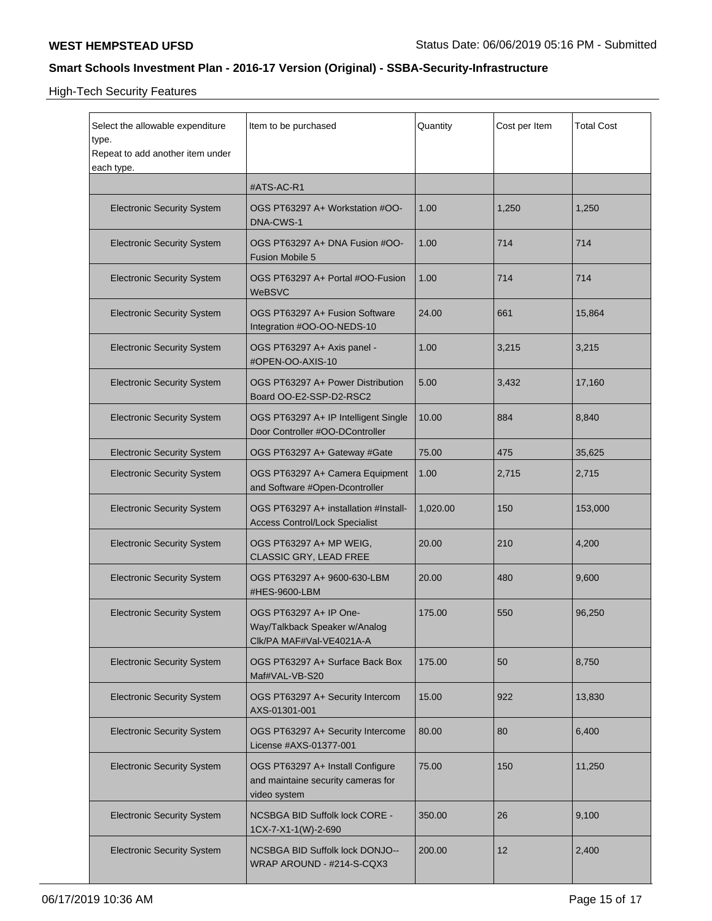High-Tech Security Features

| Select the allowable expenditure<br>type.<br>Repeat to add another item under<br>each type. | Item to be purchased                                                                   | Quantity | Cost per Item | <b>Total Cost</b> |
|---------------------------------------------------------------------------------------------|----------------------------------------------------------------------------------------|----------|---------------|-------------------|
|                                                                                             | #ATS-AC-R1                                                                             |          |               |                   |
| <b>Electronic Security System</b>                                                           | OGS PT63297 A+ Workstation #OO-<br>DNA-CWS-1                                           | 1.00     | 1,250         | 1,250             |
| <b>Electronic Security System</b>                                                           | OGS PT63297 A+ DNA Fusion #OO-<br><b>Fusion Mobile 5</b>                               | 1.00     | 714           | 714               |
| <b>Electronic Security System</b>                                                           | OGS PT63297 A+ Portal #OO-Fusion<br>WeBSVC                                             | 1.00     | 714           | 714               |
| <b>Electronic Security System</b>                                                           | OGS PT63297 A+ Fusion Software<br>Integration #OO-OO-NEDS-10                           | 24.00    | 661           | 15,864            |
| <b>Electronic Security System</b>                                                           | OGS PT63297 A+ Axis panel -<br>#OPEN-OO-AXIS-10                                        | 1.00     | 3,215         | 3,215             |
| <b>Electronic Security System</b>                                                           | OGS PT63297 A+ Power Distribution<br>Board OO-E2-SSP-D2-RSC2                           | 5.00     | 3,432         | 17,160            |
| <b>Electronic Security System</b>                                                           | OGS PT63297 A+ IP Intelligent Single<br>Door Controller #OO-DController                | 10.00    | 884           | 8,840             |
| <b>Electronic Security System</b>                                                           | OGS PT63297 A+ Gateway #Gate                                                           | 75.00    | 475           | 35,625            |
| <b>Electronic Security System</b>                                                           | OGS PT63297 A+ Camera Equipment<br>and Software #Open-Dcontroller                      | 1.00     | 2,715         | 2,715             |
| <b>Electronic Security System</b>                                                           | OGS PT63297 A+ installation #Install-<br><b>Access Control/Lock Specialist</b>         | 1,020.00 | 150           | 153,000           |
| <b>Electronic Security System</b>                                                           | OGS PT63297 A+ MP WEIG,<br>CLASSIC GRY, LEAD FREE                                      | 20.00    | 210           | 4,200             |
| <b>Electronic Security System</b>                                                           | OGS PT63297 A+ 9600-630-LBM<br>#HES-9600-LBM                                           | 20.00    | 480           | 9,600             |
| <b>Electronic Security System</b>                                                           | OGS PT63297 A+ IP One-<br>Way/Talkback Speaker w/Analog<br>Clk/PA MAF#Val-VE4021A-A    | 175.00   | 550           | 96,250            |
| <b>Electronic Security System</b>                                                           | OGS PT63297 A+ Surface Back Box<br>Maf#VAL-VB-S20                                      | 175.00   | 50            | 8,750             |
| <b>Electronic Security System</b>                                                           | OGS PT63297 A+ Security Intercom<br>AXS-01301-001                                      | 15.00    | 922           | 13,830            |
| <b>Electronic Security System</b>                                                           | OGS PT63297 A+ Security Intercome<br>License #AXS-01377-001                            | 80.00    | 80            | 6,400             |
| <b>Electronic Security System</b>                                                           | OGS PT63297 A+ Install Configure<br>and maintaine security cameras for<br>video system | 75.00    | 150           | 11,250            |
| <b>Electronic Security System</b>                                                           | NCSBGA BID Suffolk lock CORE -<br>1CX-7-X1-1(W)-2-690                                  | 350.00   | 26            | 9,100             |
| <b>Electronic Security System</b>                                                           | NCSBGA BID Suffolk lock DONJO--<br>WRAP AROUND - #214-S-CQX3                           | 200.00   | 12            | 2,400             |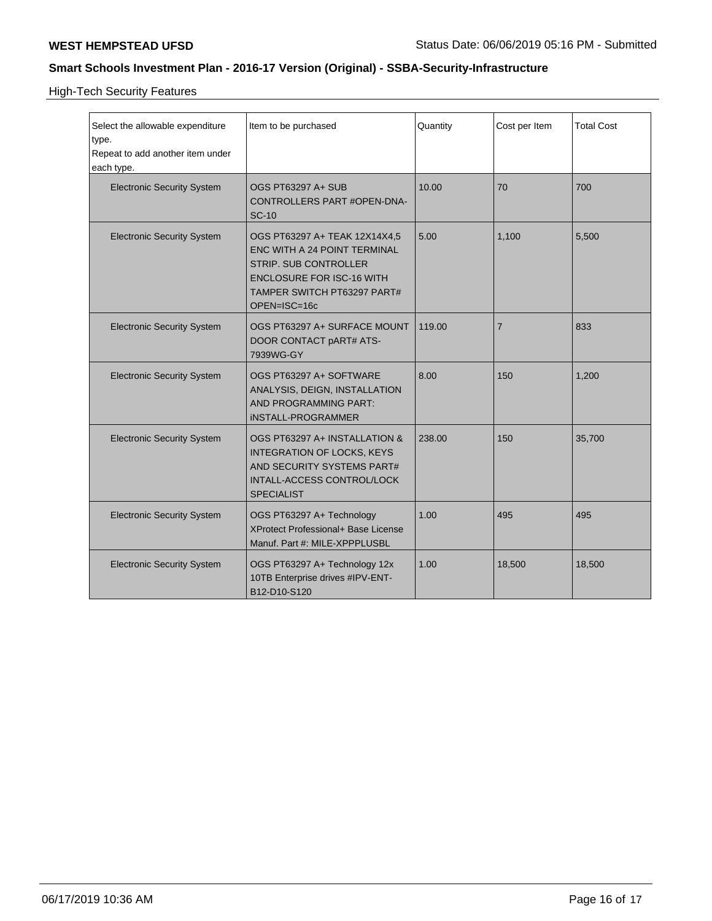High-Tech Security Features

| Select the allowable expenditure<br>type.<br>Repeat to add another item under | Item to be purchased                                                                                                                                                             | Quantity | Cost per Item  | <b>Total Cost</b> |
|-------------------------------------------------------------------------------|----------------------------------------------------------------------------------------------------------------------------------------------------------------------------------|----------|----------------|-------------------|
| each type.<br><b>Electronic Security System</b>                               | OGS PT63297 A+ SUB<br>CONTROLLERS PART #OPEN-DNA-<br><b>SC-10</b>                                                                                                                | 10.00    | 70             | 700               |
| <b>Electronic Security System</b>                                             | OGS PT63297 A+ TEAK 12X14X4,5<br>ENC WITH A 24 POINT TERMINAL<br><b>STRIP. SUB CONTROLLER</b><br><b>ENCLOSURE FOR ISC-16 WITH</b><br>TAMPER SWITCH PT63297 PART#<br>OPEN=ISC=16c | 5.00     | 1,100          | 5,500             |
| <b>Electronic Security System</b>                                             | OGS PT63297 A+ SURFACE MOUNT<br>DOOR CONTACT pART# ATS-<br>7939WG-GY                                                                                                             | 119.00   | $\overline{7}$ | 833               |
| <b>Electronic Security System</b>                                             | OGS PT63297 A+ SOFTWARE<br>ANALYSIS, DEIGN, INSTALLATION<br>AND PROGRAMMING PART:<br><b>iNSTALL-PROGRAMMER</b>                                                                   | 8.00     | 150            | 1,200             |
| <b>Electronic Security System</b>                                             | OGS PT63297 A+ INSTALLATION &<br>INTEGRATION OF LOCKS, KEYS<br>AND SECURITY SYSTEMS PART#<br>INTALL-ACCESS CONTROL/LOCK<br><b>SPECIALIST</b>                                     | 238.00   | 150            | 35,700            |
| <b>Electronic Security System</b>                                             | OGS PT63297 A+ Technology<br><b>XProtect Professional+ Base License</b><br>Manuf. Part #: MILE-XPPPLUSBL                                                                         | 1.00     | 495            | 495               |
| <b>Electronic Security System</b>                                             | OGS PT63297 A+ Technology 12x<br>10TB Enterprise drives #IPV-ENT-<br>B12-D10-S120                                                                                                | 1.00     | 18,500         | 18,500            |